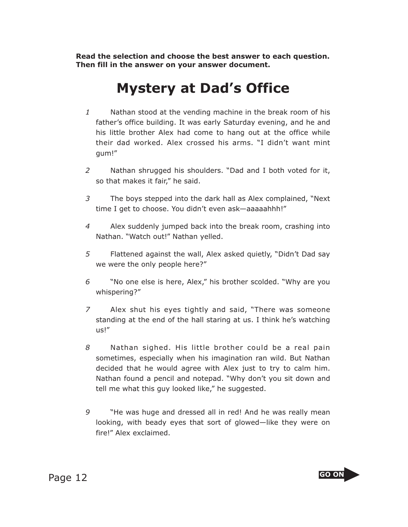**Read the selection and choose the best answer to each question. Then fill in the answer on your answer document.**

## **Mystery at Dad's Office**

- *1* Nathan stood at the vending machine in the break room of his father's office building. It was early Saturday evening, and he and his little brother Alex had come to hang out at the office while their dad worked. Alex crossed his arms. "I didn't want mint gum!"
- *2* Nathan shrugged his shoulders. "Dad and I both voted for it, so that makes it fair," he said.
- *3* The boys stepped into the dark hall as Alex complained, "Next time I get to choose. You didn't even ask—aaaaahhh!"
- *4* Alex suddenly jumped back into the break room, crashing into Nathan. "Watch out!" Nathan yelled.
- *5* Flattened against the wall, Alex asked quietly, "Didn't Dad say we were the only people here?"
- *6* "No one else is here, Alex," his brother scolded. "Why are you whispering?"
- *7* Alex shut his eyes tightly and said, "There was someone standing at the end of the hall staring at us. I think he's watching us!"
- *8* Nathan sighed. His little brother could be a real pain sometimes, especially when his imagination ran wild. But Nathan decided that he would agree with Alex just to try to calm him. Nathan found a pencil and notepad. "Why don't you sit down and tell me what this guy looked like," he suggested.
- *9* "He was huge and dressed all in red! And he was really mean looking, with beady eyes that sort of glowed—like they were on fire!" Alex exclaimed.

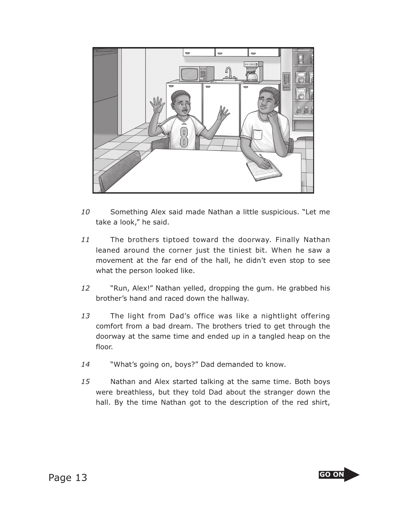

- *10* Something Alex said made Nathan a little suspicious. "Let me take a look," he said.
- *11* The brothers tiptoed toward the doorway. Finally Nathan leaned around the corner just the tiniest bit. When he saw a movement at the far end of the hall, he didn't even stop to see what the person looked like.
- *12* "Run, Alex!" Nathan yelled, dropping the gum. He grabbed his brother's hand and raced down the hallway.
- *13* The light from Dad's office was like a nightlight offering comfort from a bad dream. The brothers tried to get through the doorway at the same time and ended up in a tangled heap on the floor.
- *14* "What's going on, boys?" Dad demanded to know.
- *15* Nathan and Alex started talking at the same time. Both boys were breathless, but they told Dad about the stranger down the hall. By the time Nathan got to the description of the red shirt,

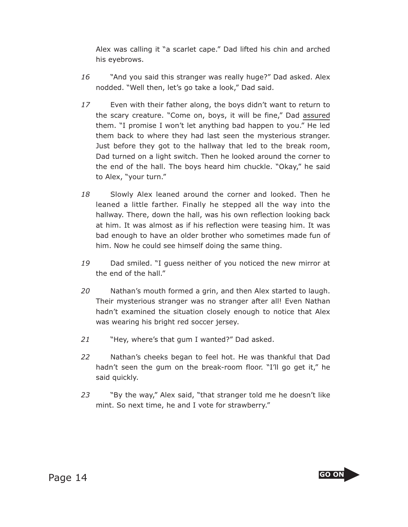Alex was calling it "a scarlet cape." Dad lifted his chin and arched his eyebrows.

- *16* "And you said this stranger was really huge?" Dad asked. Alex nodded. "Well then, let's go take a look," Dad said.
- *17* Even with their father along, the boys didn't want to return to the scary creature. "Come on, boys, it will be fine," Dad assured them. "I promise I won't let anything bad happen to you." He led them back to where they had last seen the mysterious stranger. Just before they got to the hallway that led to the break room, Dad turned on a light switch. Then he looked around the corner to the end of the hall. The boys heard him chuckle. "Okay," he said to Alex, "your turn."
- *18* Slowly Alex leaned around the corner and looked. Then he leaned a little farther. Finally he stepped all the way into the hallway. There, down the hall, was his own reflection looking back at him. It was almost as if his reflection were teasing him. It was bad enough to have an older brother who sometimes made fun of him. Now he could see himself doing the same thing.
- *19* Dad smiled. "I guess neither of you noticed the new mirror at the end of the hall."
- *20* Nathan's mouth formed a grin, and then Alex started to laugh. Their mysterious stranger was no stranger after all! Even Nathan hadn't examined the situation closely enough to notice that Alex was wearing his bright red soccer jersey.
- *21* "Hey, where's that gum I wanted?" Dad asked.
- *22* Nathan's cheeks began to feel hot. He was thankful that Dad hadn't seen the gum on the break-room floor. "I'll go get it," he said quickly.
- *23* "By the way," Alex said, "that stranger told me he doesn't like mint. So next time, he and I vote for strawberry."

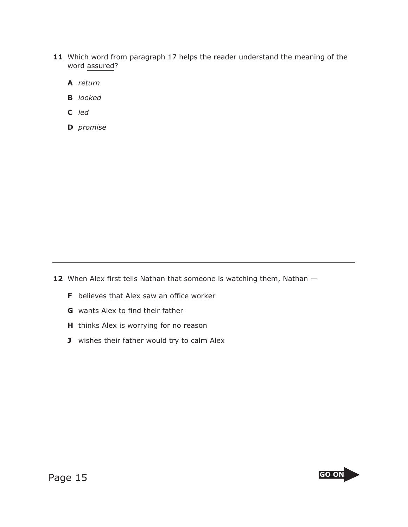- **11** Which word from paragraph 17 helps the reader understand the meaning of the word assured?
	- **A** *return*
	- **B** *looked*
	- **C** *led*
	- **D** *promise*

12 When Alex first tells Nathan that someone is watching them, Nathan  $-$ 

- **F** believes that Alex saw an office worker
- **G** wants Alex to find their father
- **H** thinks Alex is worrying for no reason
- **J** wishes their father would try to calm Alex

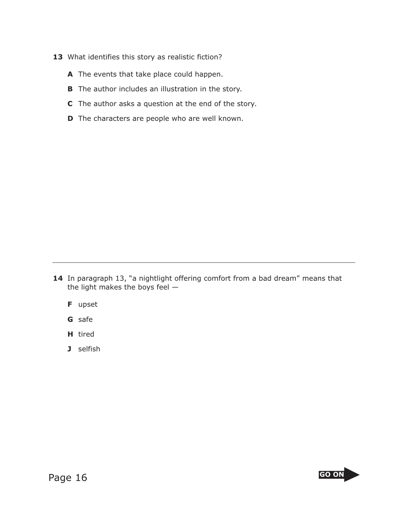- 13 What identifies this story as realistic fiction?
	- **A** The events that take place could happen.
	- **B** The author includes an illustration in the story.
	- **C** The author asks a question at the end of the story.
	- **D** The characters are people who are well known.

**14** In paragraph 13, "a nightlight offering comfort from a bad dream" means that the light makes the boys feel —

- **F** upset
- **G** safe
- **H** tired
- **J** selfish

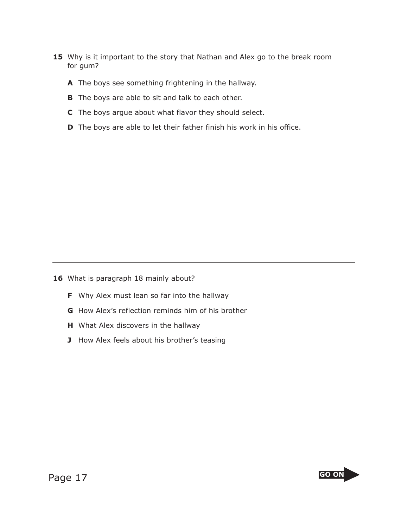- 15 Why is it important to the story that Nathan and Alex go to the break room for gum?
	- **A** The boys see something frightening in the hallway.
	- **B** The boys are able to sit and talk to each other.
	- **C** The boys argue about what flavor they should select.
	- **D** The boys are able to let their father finish his work in his office.

16 What is paragraph 18 mainly about?

- **F** Why Alex must lean so far into the hallway
- **G** How Alex's reflection reminds him of his brother
- **H** What Alex discovers in the hallway
- **J** How Alex feels about his brother's teasing